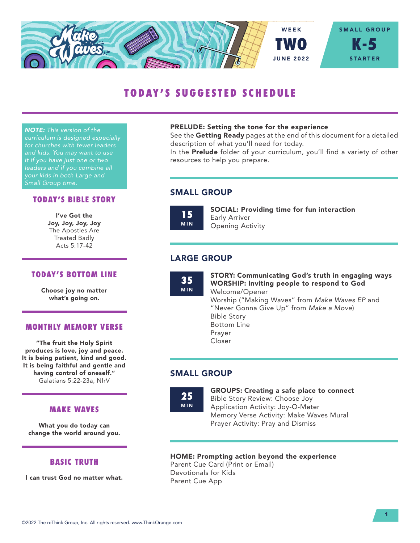

# TODAY'S SUGGESTED SCHEDULE

*NOTE: This version of the curriculum is designed especially for churches with fewer leaders and kids. You may want to use it if you have just one or two leaders and if you combine all your kids in both Large and Small Group time.*

## TODAY'S BIBLE STORY

I've Got the Joy, Joy, Joy, Joy The Apostles Are Treated Badly Acts 5:17-42

#### TODAY'S BOTTOM LINE

Choose joy no matter what's going on.

## MONTHLY MEMORY VERSE

"The fruit the Holy Spirit produces is love, joy and peace. It is being patient, kind and good. It is being faithful and gentle and having control of oneself." Galatians 5:22-23a, NIrV

#### MAKE WAVES

What you do today can change the world around you.

#### BASIC TRUTH

I can trust God no matter what.

#### PRELUDE: Setting the tone for the experience

See the Getting Ready pages at the end of this document for a detailed description of what you'll need for today.

In the **Prelude** folder of your curriculum, you'll find a variety of other resources to help you prepare.

## SMALL GROUP

15 MIN SOCIAL: Providing time for fun interaction Early Arriver Opening Activity

# LARGE GROUP

35 MIN STORY: Communicating God's truth in engaging ways WORSHIP: Inviting people to respond to God Welcome/Opener Worship ("Making Waves" from *Make Waves EP* and "Never Gonna Give Up" from *Make a Move*) Bible Story Bottom Line Prayer Closer

# SMALL GROUP

25 MIN GROUPS: Creating a safe place to connect Bible Story Review: Choose Joy Application Activity: Joy-O-Meter Memory Verse Activity: Make Waves Mural Prayer Activity: Pray and Dismiss

#### HOME: Prompting action beyond the experience

Parent Cue Card (Print or Email) Devotionals for Kids Parent Cue App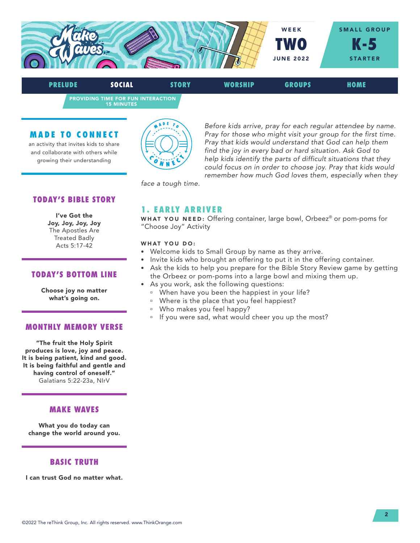

PROVIDING TIME FOR FUN INTERACTION 15 MINUTES PRELUDE SOCIAL STORY WORSHIP GROUPS HOME

### MADE TO CONNECT

an activity that invites kids to share and collaborate with others while growing their understanding



*Before kids arrive, pray for each regular attendee by name. Pray for those who might visit your group for the first time. Pray that kids would understand that God can help them find the joy in every bad or hard situation. Ask God to help kids identify the parts of difficult situations that they could focus on in order to choose joy. Pray that kids would remember how much God loves them, especially when they* 

*face a tough time.*

# TODAY'S BIBLE STORY

I've Got the Joy, Joy, Joy, Joy The Apostles Are Treated Badly Acts 5:17-42

#### TODAY'S BOTTOM LINE

Choose joy no matter what's going on.

#### MONTHLY MEMORY VERSE

"The fruit the Holy Spirit produces is love, joy and peace. It is being patient, kind and good. It is being faithful and gentle and having control of oneself." Galatians 5:22-23a, NIrV

#### MAKE WAVES

What you do today can change the world around you.

## BASIC TRUTH

I can trust God no matter what.

# 1. EARLY ARRIVER

WHAT YOU NEED: Offering container, large bowl, Orbeez® or pom-poms for "Choose Joy" Activity

#### WHAT YOU DO:

- Welcome kids to Small Group by name as they arrive.
- Invite kids who brought an offering to put it in the offering container.
- Ask the kids to help you prepare for the Bible Story Review game by getting the Orbeez or pom-poms into a large bowl and mixing them up.
- As you work, ask the following questions:
	- <sup>n</sup> When have you been the happiest in your life?
	- <sup>n</sup> Where is the place that you feel happiest?
	- <sup>u</sup> Who makes you feel happy?
	- <sup>n</sup> If you were sad, what would cheer you up the most?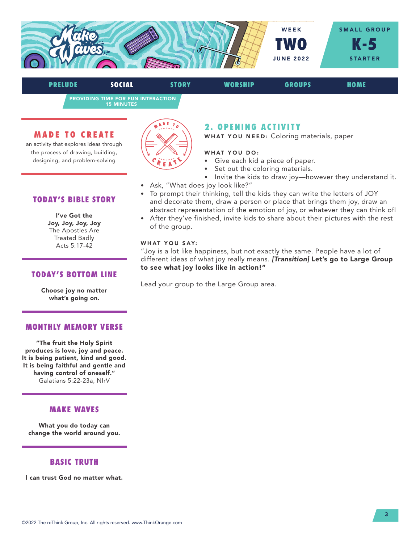

PROVIDING TIME FOR FUN INTERACTION PRELUDE SOCIAL STORY WORSHIP GROUPS HOME

15 MINUTES

## MADE TO CREATE

an activity that explores ideas through the process of drawing, building, designing, and problem-solving



# 2. OPENING ACTIVITY

WHAT YOU NEED: Coloring materials, paper

#### WHAT YOU DO:

- Give each kid a piece of paper.
- Set out the coloring materials.
- Invite the kids to draw joy-however they understand it.
- Ask, "What does joy look like?"
- To prompt their thinking, tell the kids they can write the letters of JOY and decorate them, draw a person or place that brings them joy, draw an abstract representation of the emotion of joy, or whatever they can think of!
- After they've finished, invite kids to share about their pictures with the rest of the group.

#### WHAT YOU SAY:

"Joy is a lot like happiness, but not exactly the same. People have a lot of different ideas of what joy really means. *[Transition]* Let's go to Large Group to see what joy looks like in action!"

Lead your group to the Large Group area.

# TODAY'S BIBLE STORY

#### I've Got the Joy, Joy, Joy, Joy The Apostles Are Treated Badly Acts 5:17-42

# TODAY'S BOTTOM LINE

Choose joy no matter what's going on.

## MONTHLY MEMORY VERSE

"The fruit the Holy Spirit produces is love, joy and peace. It is being patient, kind and good. It is being faithful and gentle and having control of oneself." Galatians 5:22-23a, NIrV

## MAKE WAVES

What you do today can change the world around you.

# BASIC TRUTH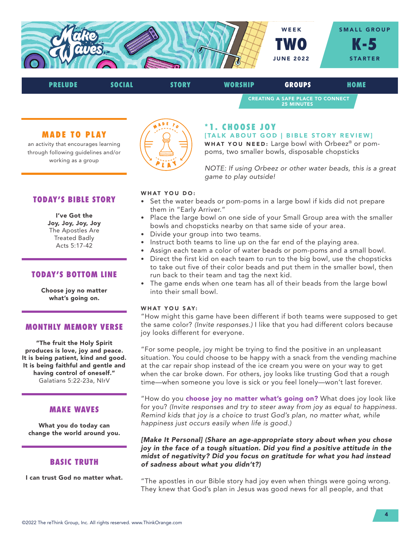

# PRELUDE SOCIAL STORY WORSHIP GROUPS HOME CREATING A SAFE PLACE TO CONNECT 25 MINUTES

## MADE TO PLAY

an activity that encourages learning through following guidelines and/or working as a group



## \*1. CHOOSE JOY

[TALK ABOUT GOD | BIBLE STORY REVIEW] WHAT YOU NEED: Large bowl with Orbeez® or pom-

poms, two smaller bowls, disposable chopsticks

*NOTE: If using Orbeez or other water beads, this is a great game to play outside!* 

#### WHAT YOU DO:

- Set the water beads or pom-poms in a large bowl if kids did not prepare them in "Early Arriver."
- Place the large bowl on one side of your Small Group area with the smaller bowls and chopsticks nearby on that same side of your area.
- Divide your group into two teams.
- Instruct both teams to line up on the far end of the playing area.
- Assign each team a color of water beads or pom-poms and a small bowl.
- Direct the first kid on each team to run to the big bowl, use the chopsticks to take out five of their color beads and put them in the smaller bowl, then run back to their team and tag the next kid.
- The game ends when one team has all of their beads from the large bowl into their small bowl.

#### WHAT YOU SAY:

"How might this game have been different if both teams were supposed to get the same color? *(Invite responses.)* I like that you had different colors because joy looks different for everyone.

"For some people, joy might be trying to find the positive in an unpleasant situation. You could choose to be happy with a snack from the vending machine at the car repair shop instead of the ice cream you were on your way to get when the car broke down. For others, joy looks like trusting God that a rough time—when someone you love is sick or you feel lonely—won't last forever.

"How do you **choose joy no matter what's going on?** What does joy look like for you? *(Invite responses and try to steer away from joy as equal to happiness. Remind kids that joy is a choice to trust God's plan, no matter what, while happiness just occurs easily when life is good.)* 

*[Make It Personal] (Share an age-appropriate story about when you chose joy in the face of a tough situation. Did you find a positive attitude in the midst of negativity? Did you focus on gratitude for what you had instead of sadness about what you didn't?)* 

"The apostles in our Bible story had joy even when things were going wrong. They knew that God's plan in Jesus was good news for all people, and that

# TODAY'S BIBLE STORY I've Got the

Joy, Joy, Joy, Joy The Apostles Are Treated Badly Acts 5:17-42

# TODAY'S BOTTOM LINE

Choose joy no matter what's going on.

## MONTHLY MEMORY VERSE

"The fruit the Holy Spirit produces is love, joy and peace. It is being patient, kind and good. It is being faithful and gentle and having control of oneself." Galatians 5:22-23a, NIrV

## MAKE WAVES

What you do today can change the world around you.

# BASIC TRUTH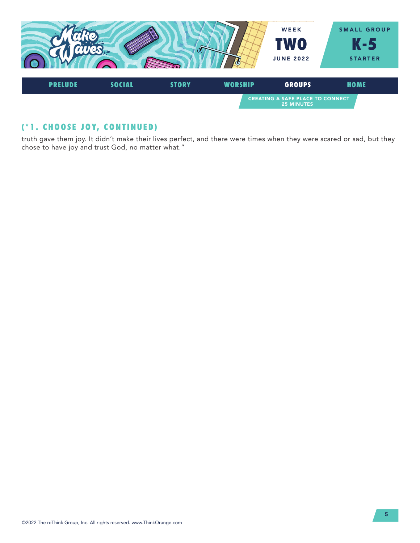

# (\*1. CHOOSE JOY, CONTINUED)

truth gave them joy. It didn't make their lives perfect, and there were times when they were scared or sad, but they chose to have joy and trust God, no matter what."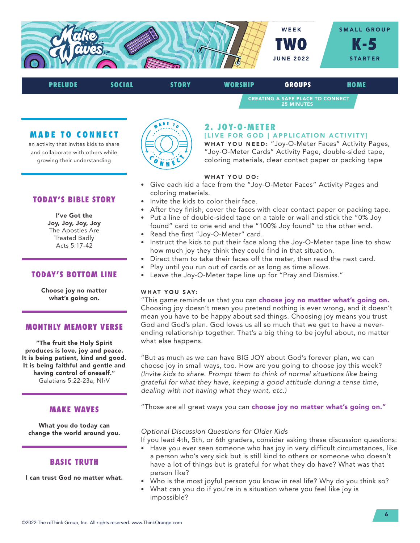

# CREATING A SAFE PLACE TO CONNECT 25 MINUTES PRELUDE SOCIAL STORY WORSHIP GROUPS HOME

## MADE TO CONNECT

an activity that invites kids to share and collaborate with others while growing their understanding



# TODAY'S BIBLE STORY

I've Got the Joy, Joy, Joy, Joy The Apostles Are Treated Badly Acts 5:17-42

## TODAY'S BOTTOM LINE

Choose joy no matter what's going on.

## MONTHLY MEMORY VERSE

"The fruit the Holy Spirit produces is love, joy and peace. It is being patient, kind and good. It is being faithful and gentle and having control of oneself." Galatians 5:22-23a, NIrV

## MAKE WAVES

What you do today can change the world around you.

# BASIC TRUTH

I can trust God no matter what.



# 2. JOY-O-METER

#### [LIVE FOR GOD | APPLICATION ACTIVITY]

WHAT YOU NEED: "Joy-O-Meter Faces" Activity Pages, "Joy-O-Meter Cards" Activity Page, double-sided tape, coloring materials, clear contact paper or packing tape

#### WHAT YOU DO:

- Give each kid a face from the "Joy-O-Meter Faces" Activity Pages and coloring materials.
- Invite the kids to color their face.
- After they finish, cover the faces with clear contact paper or packing tape.
- Put a line of double-sided tape on a table or wall and stick the "0% Joy found" card to one end and the "100% Joy found" to the other end.
- Read the first "Joy-O-Meter" card.
- Instruct the kids to put their face along the Joy-O-Meter tape line to show how much joy they think they could find in that situation.
- Direct them to take their faces off the meter, then read the next card.
- Play until you run out of cards or as long as time allows.
- Leave the Joy-O-Meter tape line up for "Pray and Dismiss."

#### WHAT YOU SAY:

"This game reminds us that you can choose joy no matter what's going on. Choosing joy doesn't mean you pretend nothing is ever wrong, and it doesn't mean you have to be happy about sad things. Choosing joy means you trust God and God's plan. God loves us all so much that we get to have a neverending relationship together. That's a big thing to be joyful about, no matter what else happens.

"But as much as we can have BIG JOY about God's forever plan, we can choose joy in small ways, too. How are you going to choose joy this week? *(Invite kids to share. Prompt them to think of normal situations like being grateful for what they have, keeping a good attitude during a tense time, dealing with not having what they want, etc.)* 

"Those are all great ways you can choose joy no matter what's going on."

## *Optional Discussion Questions for Older Kids*

- If you lead 4th, 5th, or 6th graders, consider asking these discussion questions:
- Have you ever seen someone who has joy in very difficult circumstances, like a person who's very sick but is still kind to others or someone who doesn't have a lot of things but is grateful for what they do have? What was that person like?
- Who is the most joyful person you know in real life? Why do you think so?
- What can you do if you're in a situation where you feel like joy is impossible?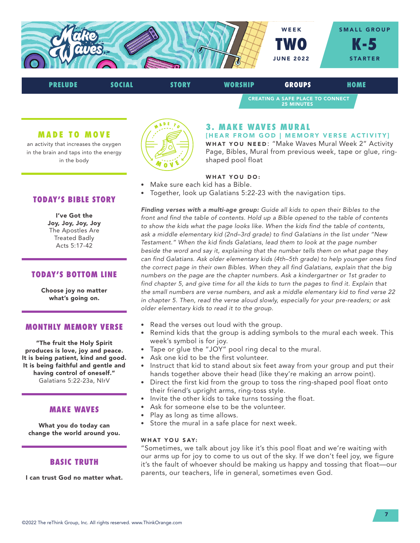

CREATING A SAFE PLACE TO CONNECT 25 MINUTES PRELUDE SOCIAL STORY WORSHIP GROUPS HOME

### MADE TO MOVE

an activity that increases the oxygen in the brain and taps into the energy in the body



# 3. MAKE WAVES MURAL

[HEAR FROM GOD | MEMORY VERSE ACTIVITY] WHAT YOU NEED: "Make Waves Mural Week 2" Activity Page, Bibles, Mural from previous week, tape or glue, ringshaped pool float

## WHAT YOU DO:

- Make sure each kid has a Bible.
- Together, look up Galatians 5:22-23 with the navigation tips.

*Finding verses with a multi-age group: Guide all kids to open their Bibles to the front and find the table of contents. Hold up a Bible opened to the table of contents to show the kids what the page looks like. When the kids find the table of contents, ask a middle elementary kid (2nd–3rd grade) to find Galatians in the list under "New Testament." When the kid finds Galatians, lead them to look at the page number*  beside the word and say it, explaining that the number tells them on what page they *can find Galatians. Ask older elementary kids (4th–5th grade) to help younger ones find the correct page in their own Bibles. When they all find Galatians, explain that the big numbers on the page are the chapter numbers. Ask a kindergartner or 1st grader to*  find chapter 5, and give time for all the kids to turn the pages to find it. Explain that *the small numbers are verse numbers, and ask a middle elementary kid to find verse 22 in chapter 5. Then, read the verse aloud slowly, especially for your pre-readers; or ask older elementary kids to read it to the group.*

- Read the verses out loud with the group.
- Remind kids that the group is adding symbols to the mural each week. This week's symbol is for joy.
- Tape or glue the "JOY" pool ring decal to the mural.
- Ask one kid to be the first volunteer.
- Instruct that kid to stand about six feet away from your group and put their hands together above their head (like they're making an arrow point).
- Direct the first kid from the group to toss the ring-shaped pool float onto their friend's upright arms, ring-toss style.
- Invite the other kids to take turns tossing the float.
- Ask for someone else to be the volunteer.
- Play as long as time allows.
- Store the mural in a safe place for next week.

#### WHAT YOU SAY:

"Sometimes, we talk about joy like it's this pool float and we're waiting with our arms up for joy to come to us out of the sky. If we don't feel joy, we figure it's the fault of whoever should be making us happy and tossing that float—our parents, our teachers, life in general, sometimes even God.

# TODAY'S BIBLE STORY

I've Got the Joy, Joy, Joy, Joy The Apostles Are Treated Badly Acts 5:17-42

## TODAY'S BOTTOM LINE

Choose joy no matter what's going on.

#### MONTHLY MEMORY VERSE

"The fruit the Holy Spirit produces is love, joy and peace. It is being patient, kind and good. It is being faithful and gentle and having control of oneself." Galatians 5:22-23a, NIrV

## MAKE WAVES

What you do today can change the world around you.

## BASIC TRUTH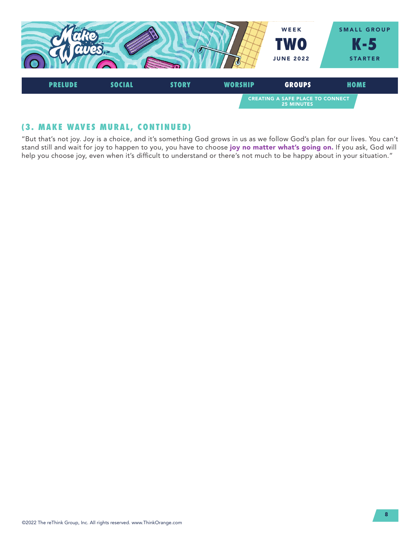

# (3. MAKE WAVES MURAL, CONTINUED)

"But that's not joy. Joy is a choice, and it's something God grows in us as we follow God's plan for our lives. You can't stand still and wait for joy to happen to you, you have to choose joy no matter what's going on. If you ask, God will help you choose joy, even when it's difficult to understand or there's not much to be happy about in your situation."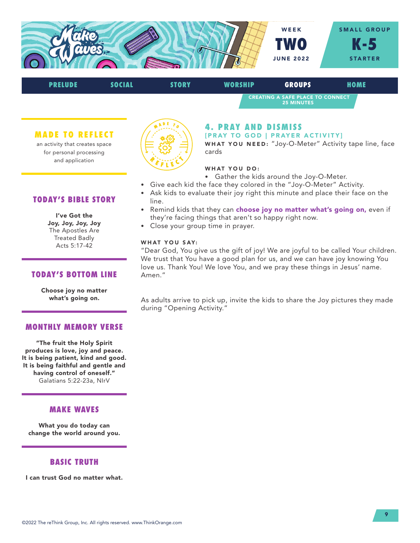

| <b>PRELUDE</b> | SOCIAL | <b>STORY</b> | <b>WORSHIP</b> | <b>GROUPS</b>                                                | HOME |  |
|----------------|--------|--------------|----------------|--------------------------------------------------------------|------|--|
|                |        |              |                | <b>CREATING A SAFE PLACE TO CONNECT</b><br><b>25 MINUTES</b> |      |  |

MADE TO REFLECT

an activity that creates space for personal processing and application



# 4. PRAY AND DISMISS

[PRAY TO GOD | PRAYER ACTIVITY]

WHAT YOU NEED: "Joy-O-Meter" Activity tape line, face cards

## WHAT YOU DO:

- Gather the kids around the Joy-O-Meter.
- Give each kid the face they colored in the "Joy-O-Meter" Activity.
- Ask kids to evaluate their joy right this minute and place their face on the line.
- Remind kids that they can choose joy no matter what's going on, even if they're facing things that aren't so happy right now.
- Close your group time in prayer.

#### WHAT YOU SAY:

"Dear God, You give us the gift of joy! We are joyful to be called Your children. We trust that You have a good plan for us, and we can have joy knowing You love us. Thank You! We love You, and we pray these things in Jesus' name. Amen."

As adults arrive to pick up, invite the kids to share the Joy pictures they made during "Opening Activity."

# TODAY'S BIBLE STORY

#### I've Got the Joy, Joy, Joy, Joy The Apostles Are Treated Badly Acts 5:17-42

TODAY'S BOTTOM LINE

Choose joy no matter what's going on.

# MONTHLY MEMORY VERSE

"The fruit the Holy Spirit produces is love, joy and peace. It is being patient, kind and good. It is being faithful and gentle and having control of oneself." Galatians 5:22-23a, NIrV

# MAKE WAVES

What you do today can change the world around you.

# BASIC TRUTH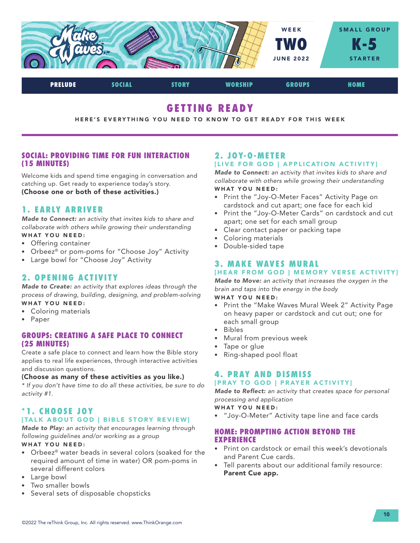

# GETTING READY

HERE'S EVERYTHING YOU NEED TO KNOW TO GET READY FOR THIS WEEK

## SOCIAL: PROVIDING TIME FOR FUN INTERACTION (15 MINUTES)

Welcome kids and spend time engaging in conversation and catching up. Get ready to experience today's story. (Choose one or both of these activities.)

# 1. EARLY ARRIVER

*Made to Connect: an activity that invites kids to share and collaborate with others while growing their understanding* WHAT YOU NEED:

- Offering container
- Orbeez® or pom-poms for "Choose Joy" Activity
- Large bowl for "Choose Joy" Activity

# 2. OPENING ACTIVITY

*Made to Create: an activity that explores ideas through the process of drawing, building, designing, and problem-solving* WHAT YOU NEED:

- Coloring materials
- Paper

## GROUPS: CREATING A SAFE PLACE TO CONNECT (25 MINUTES)

Create a safe place to connect and learn how the Bible story applies to real life experiences, through interactive activities and discussion questions.

#### (Choose as many of these activities as you like.)

*\* If you don't have time to do all these activities, be sure to do activity #1.*

# \*1. CHOOSE JOY

# [TALK ABOUT GOD | BIBLE STORY REVIEW]

*Made to Play: an activity that encourages learning through following guidelines and/or working as a group*

## WHAT YOU NEED:

- Orbeez® water beads in several colors (soaked for the required amount of time in water) OR pom-poms in several different colors
- Large bowl
- Two smaller bowls
- Several sets of disposable chopsticks

# 2. JOY-O-METER [LIVE FOR GOD | APPLICATION ACTIVITY]

*Made to Connect: an activity that invites kids to share and collaborate with others while growing their understanding* WHAT YOU NEED:

- Print the "Joy-O-Meter Faces" Activity Page on cardstock and cut apart; one face for each kid
- Print the "Joy-O-Meter Cards" on cardstock and cut apart; one set for each small group
- Clear contact paper or packing tape
- Coloring materials
- Double-sided tape

# 3. MAKE WAVES MURAL

# [HEAR FROM GOD | MEMORY VERSE ACTIVITY]

*Made to Move: an activity that increases the oxygen in the brain and taps into the energy in the body*

# WHAT YOU NEED:

- Print the "Make Waves Mural Week 2" Activity Page on heavy paper or cardstock and cut out; one for each small group
- Bibles
- Mural from previous week
- Tape or glue
- Ring-shaped pool float

# 4. PRAY AND DISMISS

## [PRAY TO GOD | PRAYER ACTIVITY]

*Made to Reflect: an activity that creates space for personal processing and application*

#### WHAT YOU NEED:

• "Joy-O-Meter" Activity tape line and face cards

## HOME: PROMPTING ACTION BEYOND THE EXPERIENCE

- Print on cardstock or email this week's devotionals and Parent Cue cards.
- Tell parents about our additional family resource: Parent Cue app.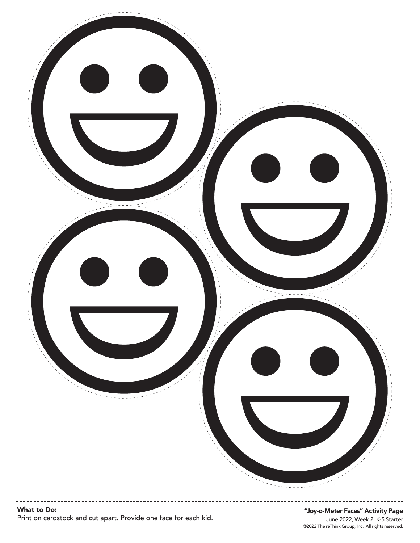

# "Joy-o-Meter Faces" Activity Page

©2022 The reThink Group, Inc. All rights reserved. June 2022, Week 2, K-5 Starter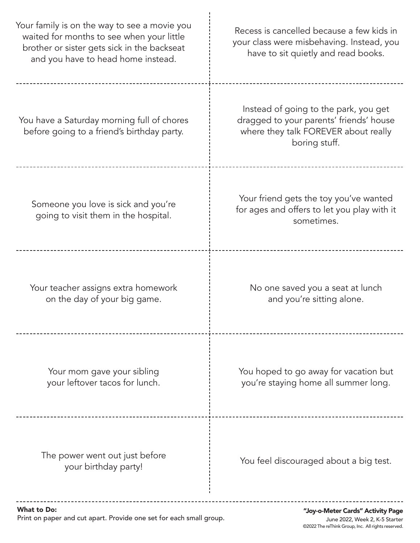| Your family is on the way to see a movie you<br>waited for months to see when your little<br>brother or sister gets sick in the backseat<br>and you have to head home instead. | Recess is cancelled because a few kids in<br>your class were misbehaving. Instead, you<br>have to sit quietly and read books.             |  |
|--------------------------------------------------------------------------------------------------------------------------------------------------------------------------------|-------------------------------------------------------------------------------------------------------------------------------------------|--|
| You have a Saturday morning full of chores<br>before going to a friend's birthday party.                                                                                       | Instead of going to the park, you get<br>dragged to your parents' friends' house<br>where they talk FOREVER about really<br>boring stuff. |  |
| Someone you love is sick and you're<br>going to visit them in the hospital.                                                                                                    | Your friend gets the toy you've wanted<br>for ages and offers to let you play with it<br>sometimes.                                       |  |
| Your teacher assigns extra homework<br>on the day of your big game.                                                                                                            | No one saved you a seat at lunch<br>and you're sitting alone.                                                                             |  |
| Your mom gave your sibling<br>your leftover tacos for lunch.                                                                                                                   | You hoped to go away for vacation but<br>you're staying home all summer long.                                                             |  |
| The power went out just before<br>your birthday party!                                                                                                                         | You feel discouraged about a big test.                                                                                                    |  |
| <b>What to Do:</b>                                                                                                                                                             | "Joy-o-Meter Cards" Activity Page                                                                                                         |  |

Print on paper and cut apart. Provide one set for each small group.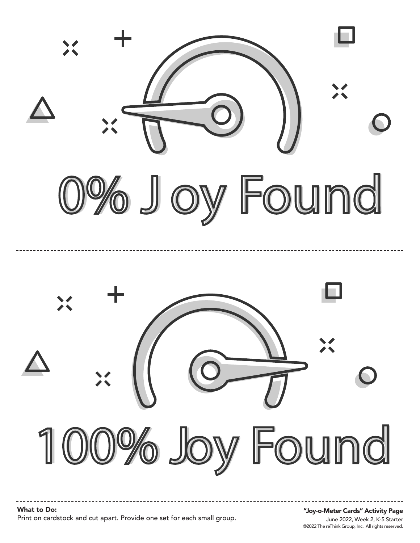



What to Do: Print on cardstock and cut apart. Provide one set for each small group.

#### June 2022, Week 2, K-5 Starter "Joy-o-Meter Cards" Activity Page

©2022 The reThink Group, Inc. All rights reserved.